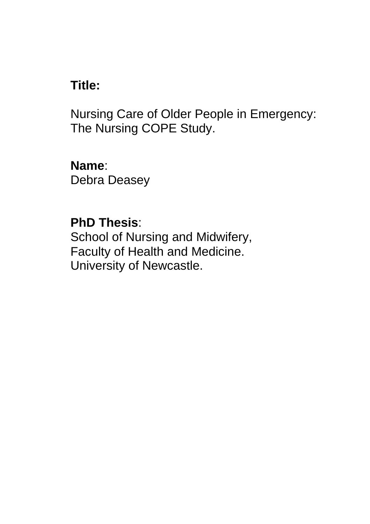## **Title:**

Nursing Care of Older People in Emergency: The Nursing COPE Study.

**Name**: Debra Deasey

# **PhD Thesis**:

School of Nursing and Midwifery, Faculty of Health and Medicine. University of Newcastle.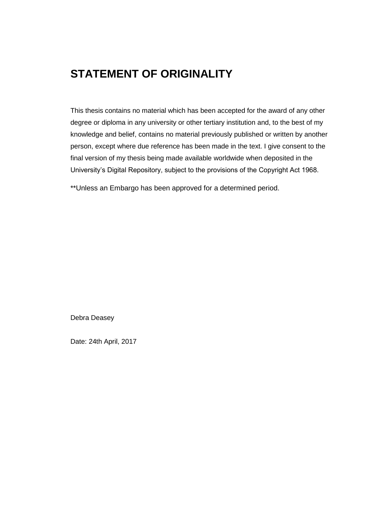### **STATEMENT OF ORIGINALITY**

This thesis contains no material which has been accepted for the award of any other degree or diploma in any university or other tertiary institution and, to the best of my knowledge and belief, contains no material previously published or written by another person, except where due reference has been made in the text. I give consent to the final version of my thesis being made available worldwide when deposited in the University's Digital Repository, subject to the provisions of the Copyright Act 1968.

\*\*Unless an Embargo has been approved for a determined period.

Debra Deasey

Date: 24th April, 2017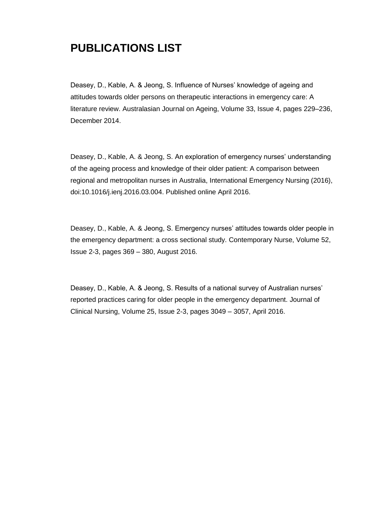### **PUBLICATIONS LIST**

Deasey, D., Kable, A. & Jeong, S. Influence of Nurses' knowledge of ageing and attitudes towards older persons on therapeutic interactions in emergency care: A literature review. Australasian Journal on Ageing, [Volume 33, Issue 4, p](http://onlinelibrary.wiley.com/doi/10.1111/ajag.2014.33.issue-4/issuetoc)ages 229–236, December 2014.

Deasey, D., Kable, A. & Jeong, S. An exploration of emergency nurses' understanding of the ageing process and knowledge of their older patient: A comparison between regional and metropolitan nurses in Australia, International Emergency Nursing (2016), doi:10.1016/j.ienj.2016.03.004. Published online April 2016.

Deasey, D., Kable, A. & Jeong, S. Emergency nurses' attitudes towards older people in the emergency department: a cross sectional study. Contemporary Nurse, [Volume 52,](http://onlinelibrary.wiley.com/doi/10.1111/ajag.2014.33.issue-4/issuetoc)  [Issue 2-3, p](http://onlinelibrary.wiley.com/doi/10.1111/ajag.2014.33.issue-4/issuetoc)ages 369 – 380, August 2016.

Deasey, D., Kable, A. & Jeong, S. Results of a national survey of Australian nurses' reported practices caring for older people in the emergency department. Journal of Clinical Nursing, [Volume 25, Issue 2-3, p](http://onlinelibrary.wiley.com/doi/10.1111/ajag.2014.33.issue-4/issuetoc)ages 3049 – 3057, April 2016.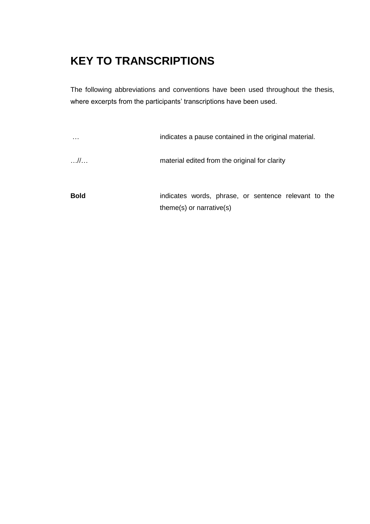## **KEY TO TRANSCRIPTIONS**

The following abbreviations and conventions have been used throughout the thesis, where excerpts from the participants' transcriptions have been used.

| .           | indicates a pause contained in the original material. |
|-------------|-------------------------------------------------------|
| . //        | material edited from the original for clarity         |
| <b>Bold</b> | indicates words, phrase, or sentence relevant to the  |

theme(s) or narrative(s)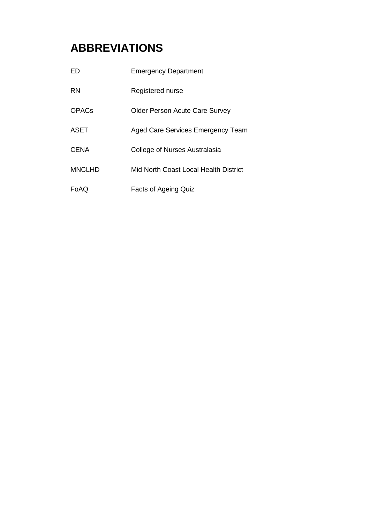## **ABBREVIATIONS**

| FD            | <b>Emergency Department</b>           |
|---------------|---------------------------------------|
| <b>RN</b>     | Registered nurse                      |
| OPACS         | <b>Older Person Acute Care Survey</b> |
| ASET          | Aged Care Services Emergency Team     |
| <b>CENA</b>   | College of Nurses Australasia         |
| <b>MNCLHD</b> | Mid North Coast Local Health District |
| FoAQ          | <b>Facts of Ageing Quiz</b>           |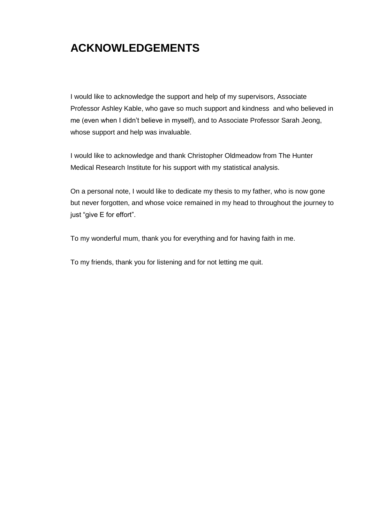### **ACKNOWLEDGEMENTS**

I would like to acknowledge the support and help of my supervisors, Associate Professor Ashley Kable, who gave so much support and kindness and who believed in me (even when I didn't believe in myself), and to Associate Professor Sarah Jeong, whose support and help was invaluable.

I would like to acknowledge and thank Christopher Oldmeadow from The Hunter Medical Research Institute for his support with my statistical analysis.

On a personal note, I would like to dedicate my thesis to my father, who is now gone but never forgotten, and whose voice remained in my head to throughout the journey to just "give E for effort".

To my wonderful mum, thank you for everything and for having faith in me.

To my friends, thank you for listening and for not letting me quit.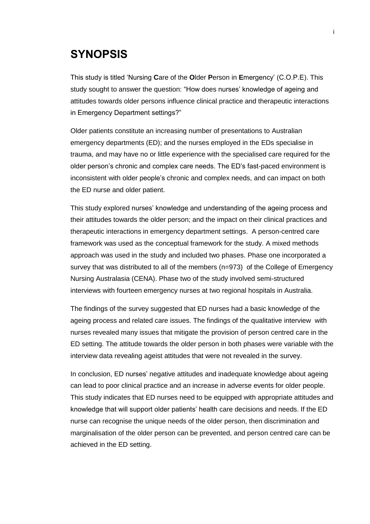#### <span id="page-6-0"></span>**SYNOPSIS**

This study is titled 'Nursing **C**are of the **O**lder **P**erson in **E**mergency' (C.O.P.E). This study sought to answer the question: "How does nurses' knowledge of ageing and attitudes towards older persons influence clinical practice and therapeutic interactions in Emergency Department settings?"

Older patients constitute an increasing number of presentations to Australian emergency departments (ED); and the nurses employed in the EDs specialise in trauma, and may have no or little experience with the specialised care required for the older person's chronic and complex care needs. The ED's fast-paced environment is inconsistent with older people's chronic and complex needs, and can impact on both the ED nurse and older patient.

This study explored nurses' knowledge and understanding of the ageing process and their attitudes towards the older person; and the impact on their clinical practices and therapeutic interactions in emergency department settings. A person-centred care framework was used as the conceptual framework for the study. A mixed methods approach was used in the study and included two phases. Phase one incorporated a survey that was distributed to all of the members (n=973) of the College of Emergency Nursing Australasia (CENA). Phase two of the study involved semi-structured interviews with fourteen emergency nurses at two regional hospitals in Australia.

The findings of the survey suggested that ED nurses had a basic knowledge of the ageing process and related care issues. The findings of the qualitative interview with nurses revealed many issues that mitigate the provision of person centred care in the ED setting. The attitude towards the older person in both phases were variable with the interview data revealing ageist attitudes that were not revealed in the survey.

In conclusion, ED nurses' negative attitudes and inadequate knowledge about ageing can lead to poor clinical practice and an increase in adverse events for older people. This study indicates that ED nurses need to be equipped with appropriate attitudes and knowledge that will support older patients' health care decisions and needs. If the ED nurse can recognise the unique needs of the older person, then discrimination and marginalisation of the older person can be prevented, and person centred care can be achieved in the ED setting.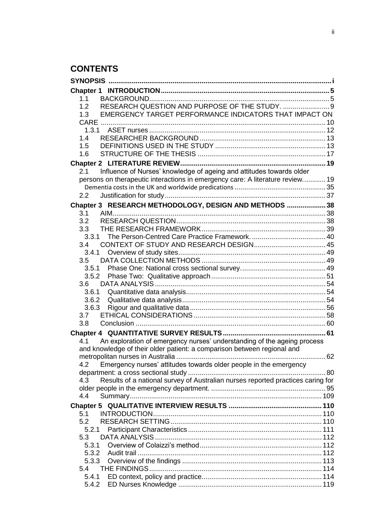#### **CONTENTS**

| 1.1                                                                                                                                                       |  |
|-----------------------------------------------------------------------------------------------------------------------------------------------------------|--|
| RESEARCH QUESTION AND PURPOSE OF THE STUDY.  9<br>1.2                                                                                                     |  |
| EMERGENCY TARGET PERFORMANCE INDICATORS THAT IMPACT ON<br>1.3                                                                                             |  |
|                                                                                                                                                           |  |
| 1.4                                                                                                                                                       |  |
| 1.5                                                                                                                                                       |  |
| 1.6                                                                                                                                                       |  |
|                                                                                                                                                           |  |
| Influence of Nurses' knowledge of ageing and attitudes towards older<br>2.1                                                                               |  |
| persons on therapeutic interactions in emergency care: A literature review 19                                                                             |  |
|                                                                                                                                                           |  |
| 2.2                                                                                                                                                       |  |
| Chapter 3 RESEARCH METHODOLOGY, DESIGN AND METHODS  38                                                                                                    |  |
| 3.1                                                                                                                                                       |  |
| 3.2                                                                                                                                                       |  |
| 3.3                                                                                                                                                       |  |
| 3.3.1                                                                                                                                                     |  |
| 3.4                                                                                                                                                       |  |
| 3.4.1<br>3.5                                                                                                                                              |  |
| 3.5.1                                                                                                                                                     |  |
| 3.5.2                                                                                                                                                     |  |
| 3.6                                                                                                                                                       |  |
| 3.6.1                                                                                                                                                     |  |
| 3.6.2                                                                                                                                                     |  |
| 3.6.3                                                                                                                                                     |  |
| 3.7                                                                                                                                                       |  |
| 3.8                                                                                                                                                       |  |
|                                                                                                                                                           |  |
| An exploration of emergency nurses' understanding of the ageing process<br>4.1<br>and knowledge of their older patient: a comparison between regional and |  |
|                                                                                                                                                           |  |
| Emergency nurses' attitudes towards older people in the emergency<br>4.2                                                                                  |  |
|                                                                                                                                                           |  |
| Results of a national survey of Australian nurses reported practices caring for<br>4.3                                                                    |  |
|                                                                                                                                                           |  |
| 4.4                                                                                                                                                       |  |
|                                                                                                                                                           |  |
| 5.1                                                                                                                                                       |  |
| 5.2                                                                                                                                                       |  |
| 5.2.1                                                                                                                                                     |  |
| 5.3<br>5.3.1                                                                                                                                              |  |
| 5.3.2                                                                                                                                                     |  |
| 5.3.3                                                                                                                                                     |  |
| 5.4                                                                                                                                                       |  |
| 5.4.1                                                                                                                                                     |  |
| 5.4.2                                                                                                                                                     |  |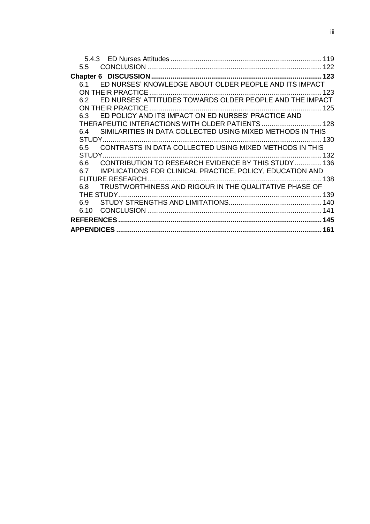| 6.1 ED NURSES' KNOWLEDGE ABOUT OLDER PEOPLE AND ITS IMPACT     |  |
|----------------------------------------------------------------|--|
|                                                                |  |
| 6.2 ED NURSES' ATTITUDES TOWARDS OLDER PEOPLE AND THE IMPACT   |  |
|                                                                |  |
| 6.3 ED POLICY AND ITS IMPACT ON ED NURSES' PRACTICE AND        |  |
| THERAPEUTIC INTERACTIONS WITH OLDER PATIENTS  128              |  |
| 6.4 SIMILARITIES IN DATA COLLECTED USING MIXED METHODS IN THIS |  |
|                                                                |  |
| 6.5 CONTRASTS IN DATA COLLECTED USING MIXED METHODS IN THIS    |  |
|                                                                |  |
| 6.6 CONTRIBUTION TO RESEARCH EVIDENCE BY THIS STUDY 136        |  |
| 6.7 IMPLICATIONS FOR CLINICAL PRACTICE, POLICY, EDUCATION AND  |  |
|                                                                |  |
| 6.8 TRUSTWORTHINESS AND RIGOUR IN THE QUALITATIVE PHASE OF     |  |
|                                                                |  |
|                                                                |  |
|                                                                |  |
|                                                                |  |
|                                                                |  |
|                                                                |  |